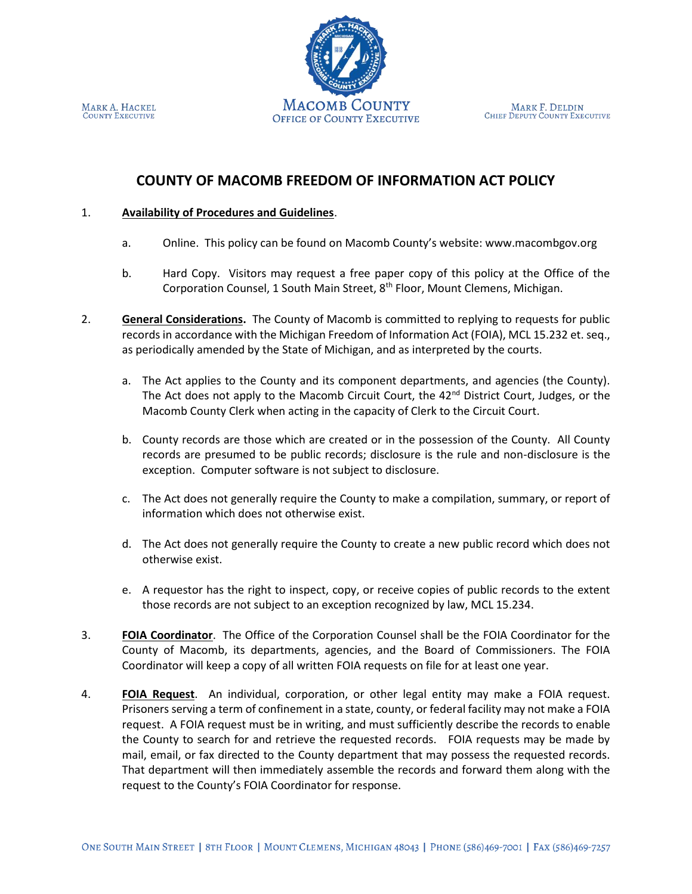MARK F. DELDIN CHIEF DEPUTY COUNTY EXECUTIVE



### 1. **Availability of Procedures and Guidelines**.

- a. Online. This policy can be found on Macomb County's website: www.macombgov.org
- b. Hard Copy. Visitors may request a free paper copy of this policy at the Office of the Corporation Counsel, 1 South Main Street, 8<sup>th</sup> Floor, Mount Clemens, Michigan.
- 2. **General Considerations.** The County of Macomb is committed to replying to requests for public records in accordance with the Michigan Freedom of Information Act (FOIA), MCL 15.232 et. seq., as periodically amended by the State of Michigan, and as interpreted by the courts.
	- a. The Act applies to the County and its component departments, and agencies (the County). The Act does not apply to the Macomb Circuit Court, the  $42<sup>nd</sup>$  District Court, Judges, or the Macomb County Clerk when acting in the capacity of Clerk to the Circuit Court.
	- b. County records are those which are created or in the possession of the County. All County records are presumed to be public records; disclosure is the rule and non-disclosure is the exception. Computer software is not subject to disclosure.
	- c. The Act does not generally require the County to make a compilation, summary, or report of information which does not otherwise exist.
	- d. The Act does not generally require the County to create a new public record which does not otherwise exist.
	- e. A requestor has the right to inspect, copy, or receive copies of public records to the extent those records are not subject to an exception recognized by law, MCL 15.234.
- 3. **FOIA Coordinator**. The Office of the Corporation Counsel shall be the FOIA Coordinator for the County of Macomb, its departments, agencies, and the Board of Commissioners. The FOIA Coordinator will keep a copy of all written FOIA requests on file for at least one year.
- 4. **FOIA Request**. An individual, corporation, or other legal entity may make a FOIA request. Prisoners serving a term of confinement in a state, county, or federal facility may not make a FOIA request. A FOIA request must be in writing, and must sufficiently describe the records to enable the County to search for and retrieve the requested records. FOIA requests may be made by mail, email, or fax directed to the County department that may possess the requested records. That department will then immediately assemble the records and forward them along with the request to the County's FOIA Coordinator for response.



MARK A. HACKEL **COUNTY EXECUTIVE**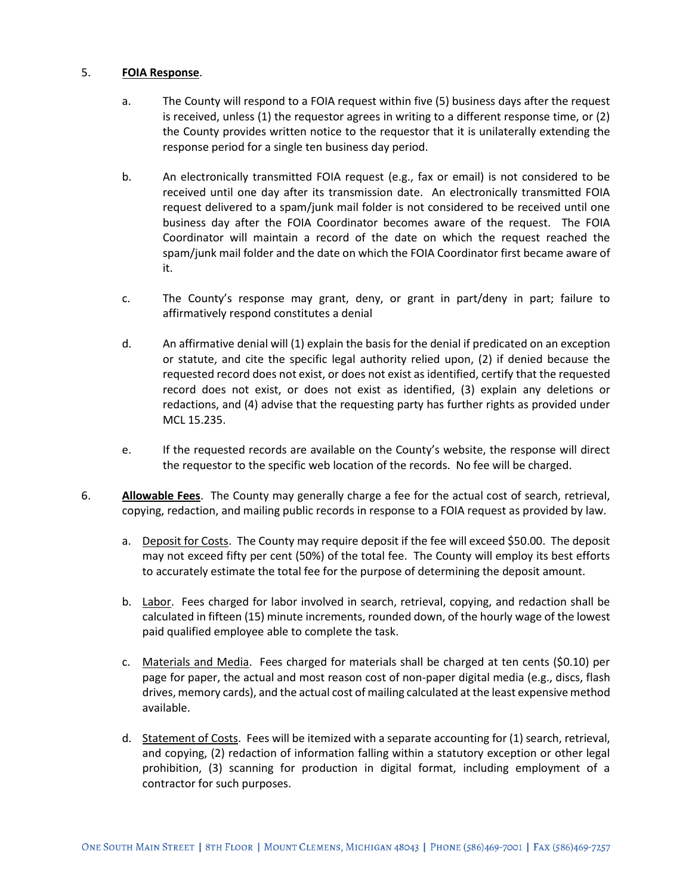# 5. **FOIA Response**.

- a. The County will respond to a FOIA request within five (5) business days after the request is received, unless (1) the requestor agrees in writing to a different response time, or (2) the County provides written notice to the requestor that it is unilaterally extending the response period for a single ten business day period.
- b. An electronically transmitted FOIA request (e.g., fax or email) is not considered to be received until one day after its transmission date. An electronically transmitted FOIA request delivered to a spam/junk mail folder is not considered to be received until one business day after the FOIA Coordinator becomes aware of the request. The FOIA Coordinator will maintain a record of the date on which the request reached the spam/junk mail folder and the date on which the FOIA Coordinator first became aware of it.
- c. The County's response may grant, deny, or grant in part/deny in part; failure to affirmatively respond constitutes a denial
- d. An affirmative denial will (1) explain the basis for the denial if predicated on an exception or statute, and cite the specific legal authority relied upon, (2) if denied because the requested record does not exist, or does not exist as identified, certify that the requested record does not exist, or does not exist as identified, (3) explain any deletions or redactions, and (4) advise that the requesting party has further rights as provided under MCL 15.235.
- e. If the requested records are available on the County's website, the response will direct the requestor to the specific web location of the records. No fee will be charged.
- 6. **Allowable Fees**. The County may generally charge a fee for the actual cost of search, retrieval, copying, redaction, and mailing public records in response to a FOIA request as provided by law.
	- a. Deposit for Costs. The County may require deposit if the fee will exceed \$50.00. The deposit may not exceed fifty per cent (50%) of the total fee. The County will employ its best efforts to accurately estimate the total fee for the purpose of determining the deposit amount.
	- b. Labor. Fees charged for labor involved in search, retrieval, copying, and redaction shall be calculated in fifteen (15) minute increments, rounded down, of the hourly wage of the lowest paid qualified employee able to complete the task.
	- c. Materials and Media. Fees charged for materials shall be charged at ten cents (\$0.10) per page for paper, the actual and most reason cost of non-paper digital media (e.g., discs, flash drives, memory cards), and the actual cost of mailing calculated at the least expensive method available.
	- d. Statement of Costs. Fees will be itemized with a separate accounting for (1) search, retrieval, and copying, (2) redaction of information falling within a statutory exception or other legal prohibition, (3) scanning for production in digital format, including employment of a contractor for such purposes.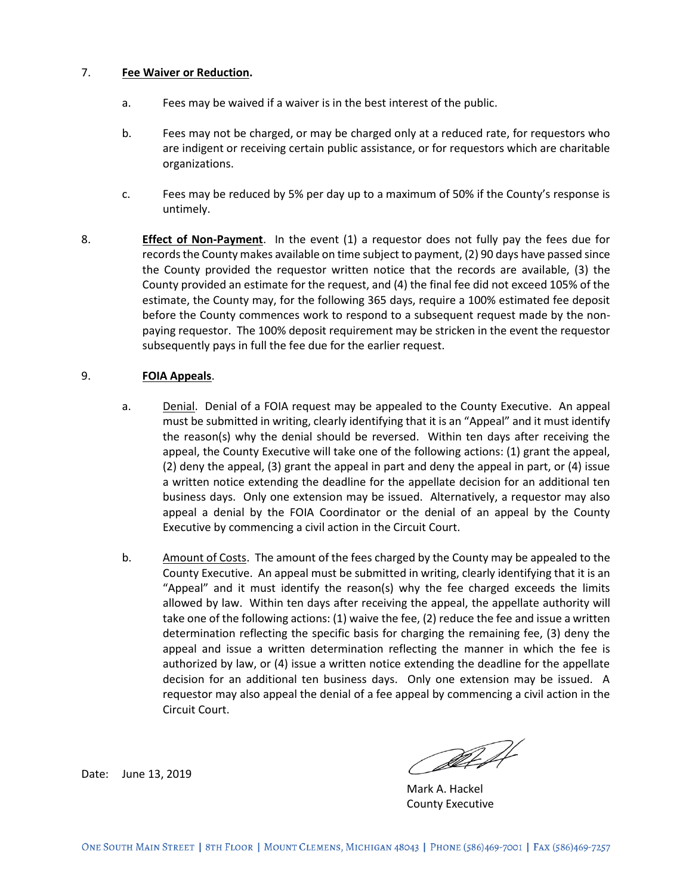### 7. **Fee Waiver or Reduction.**

- a. Fees may be waived if a waiver is in the best interest of the public.
- b. Fees may not be charged, or may be charged only at a reduced rate, for requestors who are indigent or receiving certain public assistance, or for requestors which are charitable organizations.
- c. Fees may be reduced by 5% per day up to a maximum of 50% if the County's response is untimely.
- 8. **Effect of Non-Payment**. In the event (1) a requestor does not fully pay the fees due for records the County makes available on time subject to payment, (2) 90 days have passed since the County provided the requestor written notice that the records are available, (3) the County provided an estimate for the request, and (4) the final fee did not exceed 105% of the estimate, the County may, for the following 365 days, require a 100% estimated fee deposit before the County commences work to respond to a subsequent request made by the nonpaying requestor. The 100% deposit requirement may be stricken in the event the requestor subsequently pays in full the fee due for the earlier request.

#### 9. **FOIA Appeals**.

- a. Denial. Denial of a FOIA request may be appealed to the County Executive. An appeal must be submitted in writing, clearly identifying that it is an "Appeal" and it must identify the reason(s) why the denial should be reversed. Within ten days after receiving the appeal, the County Executive will take one of the following actions: (1) grant the appeal, (2) deny the appeal, (3) grant the appeal in part and deny the appeal in part, or (4) issue a written notice extending the deadline for the appellate decision for an additional ten business days. Only one extension may be issued. Alternatively, a requestor may also appeal a denial by the FOIA Coordinator or the denial of an appeal by the County Executive by commencing a civil action in the Circuit Court.
- b. Amount of Costs. The amount of the fees charged by the County may be appealed to the County Executive. An appeal must be submitted in writing, clearly identifying that it is an "Appeal" and it must identify the reason(s) why the fee charged exceeds the limits allowed by law. Within ten days after receiving the appeal, the appellate authority will take one of the following actions: (1) waive the fee, (2) reduce the fee and issue a written determination reflecting the specific basis for charging the remaining fee, (3) deny the appeal and issue a written determination reflecting the manner in which the fee is authorized by law, or (4) issue a written notice extending the deadline for the appellate decision for an additional ten business days. Only one extension may be issued. A requestor may also appeal the denial of a fee appeal by commencing a civil action in the Circuit Court.

Date: June 13, 2019

Alt

Mark A. Hackel County Executive